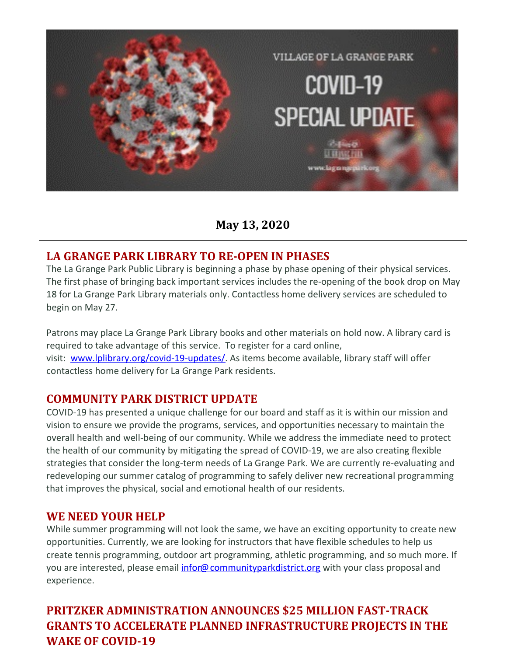

**May 13, 2020**

### **LA GRANGE PARK LIBRARY TO RE-OPEN IN PHASES**

The La Grange Park Public Library is beginning a phase by phase opening of their physical services. The first phase of bringing back important services includes the re-opening of the book drop on May 18 for La Grange Park Library materials only. Contactless home delivery services are scheduled to begin on May 27.

Patrons may place La Grange Park Library books and other materials on hold now. A library card is required to take advantage of this service. To register for a card online, visit: [www.lplibrary.org/covid-19-updates/](http://r20.rs6.net/tn.jsp?f=001K_hdueOgZIAg_U0PzW8_FPHMkz1cGud_6YhAvSVQuBPuF_wNKYUKvqvOKtY6OSYglMwT0iAyZ7BaJ8xVQigMlZbEKblRyVA-d0_ViBAadbF-0bLq9B0XrUDDTy7L7JqB98dHiKTZeuPWBEqndb5X_iiQ3-ZSLQV6W3F8vnmYfYHMS2YXPwBxX1VCGY95uly25apIG7AmDsc=&c=&ch=). As items become available, library staff will offer contactless home delivery for La Grange Park residents.

#### **COMMUNITY PARK DISTRICT UPDATE**

COVID-19 has presented a unique challenge for our board and staff as it is within our mission and vision to ensure we provide the programs, services, and opportunities necessary to maintain the overall health and well-being of our community. While we address the immediate need to protect the health of our community by mitigating the spread of COVID-19, we are also creating flexible strategies that consider the long-term needs of La Grange Park. We are currently re-evaluating and redeveloping our summer catalog of programming to safely deliver new recreational programming that improves the physical, social and emotional health of our residents.

#### **WE NEED YOUR HELP**

While summer programming will not look the same, we have an exciting opportunity to create new opportunities. Currently, we are looking for instructors that have flexible schedules to help us create tennis programming, outdoor art programming, athletic programming, and so much more. If you are interested, please email [infor@communityparkdistrict.org](mailto:infor@communityparkdistrict.org) with your class proposal and experience.

### **PRITZKER ADMINISTRATION ANNOUNCES \$25 MILLION FAST-TRACK GRANTS TO ACCELERATE PLANNED INFRASTRUCTURE PROJECTS IN THE WAKE OF COVID-19**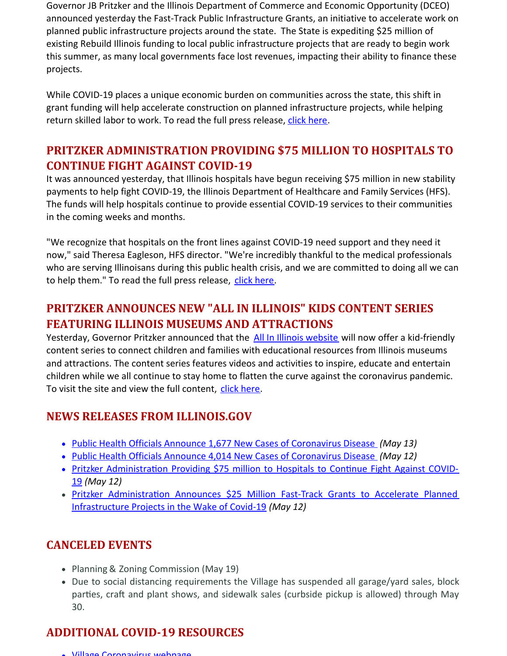Governor JB Pritzker and the Illinois Department of Commerce and Economic Opportunity (DCEO) announced yesterday the Fast-Track Public Infrastructure Grants, an initiative to accelerate work on planned public infrastructure projects around the state. The State is expediting \$25 million of existing Rebuild Illinois funding to local public infrastructure projects that are ready to begin work this summer, as many local governments face lost revenues, impacting their ability to finance these projects.

While COVID-19 places a unique economic burden on communities across the state, this shift in grant funding will help accelerate construction on planned infrastructure projects, while helping return skilled labor to work. To read the full press release, click [here](http://r20.rs6.net/tn.jsp?f=001K_hdueOgZIAg_U0PzW8_FPHMkz1cGud_6YhAvSVQuBPuF_wNKYUKvkaxwbrMnTEMh3XGbm1IivO-icM7LY407L4M7GS2tri6i2oAhJMKCbeI4QOVuGlRe2knarDV2BLnMflvAMcWMomDf1E9zbS3t-l7nWg8pP1kcCu2YMltJvkYeZPnZpNfW6rKZk9tp1q04Ldb0aLNUrPZ2Fjef33AZO6nS1NDHvNHG__vBq29_3Y=&c=&ch=).

### **PRITZKER ADMINISTRATION PROVIDING \$75 MILLION TO HOSPITALS TO CONTINUE FIGHT AGAINST COVID-19**

It was announced yesterday, that Illinois hospitals have begun receiving \$75 million in new stability payments to help fight COVID-19, the Illinois Department of Healthcare and Family Services (HFS). The funds will help hospitals continue to provide essential COVID-19 services to their communities in the coming weeks and months.

"We recognize that hospitals on the front lines against COVID-19 need support and they need it now," said Theresa Eagleson, HFS director. "We're incredibly thankful to the medical professionals who are serving Illinoisans during this public health crisis, and we are committed to doing all we can to help them." To read the full press release, click [here](http://r20.rs6.net/tn.jsp?f=001K_hdueOgZIAg_U0PzW8_FPHMkz1cGud_6YhAvSVQuBPuF_wNKYUKvkaxwbrMnTEMsKWgUOYbE3GMm8Hc8fZ9ekHsNrnTmziQLqnncFGvJVixXudtfKIk8JxabW1zghVUKCFENu22FFi_Nt2j7kMZQZ3muEeQJwhGx32InQSLdLcsS03pfj_zQR2h2J37WSbVdKD-G4NSrV1EKNPhxFg2YIpL9dyVlJDsjKIDqstWW-w=&c=&ch=).

## **PRITZKER ANNOUNCES NEW "ALL IN ILLINOIS" KIDS CONTENT SERIES FEATURING ILLINOIS MUSEUMS AND ATTRACTIONS**

Yesterday, Governor Pritzker announced that the All In Illinois [website](http://r20.rs6.net/tn.jsp?f=001K_hdueOgZIAg_U0PzW8_FPHMkz1cGud_6YhAvSVQuBPuF_wNKYUKvuNC7eZmxkjmmlImPaCDy3Q15cgybzAFu6rZ-gIehWBKa16TUorbj2lLz-lyI_rb6I45GOArdMPNuUh668-pKXz4MxkYaXBuuYWMAMuUY6ca7LI9D5RaUlGIA-p3oj-jiWVAeYr87hYuB3lrnlkue3o=&c=&ch=) will now offer a kid-friendly content series to connect children and families with educational resources from Illinois museums and attractions. The content series features videos and activities to inspire, educate and entertain children while we all continue to stay home to flatten the curve against the coronavirus pandemic. To visit the site and view the full content, click [here](http://r20.rs6.net/tn.jsp?f=001K_hdueOgZIAg_U0PzW8_FPHMkz1cGud_6YhAvSVQuBPuF_wNKYUKvuNC7eZmxkjmmlImPaCDy3Q15cgybzAFu6rZ-gIehWBKa16TUorbj2lLz-lyI_rb6I45GOArdMPNuUh668-pKXz4MxkYaXBuuYWMAMuUY6ca7LI9D5RaUlGIA-p3oj-jiWVAeYr87hYuB3lrnlkue3o=&c=&ch=).

#### **NEWS RELEASES FROM ILLINOIS.GOV**

- Public Health Officials Announce 1,677 New Cases of [Coronavirus](http://r20.rs6.net/tn.jsp?f=001K_hdueOgZIAg_U0PzW8_FPHMkz1cGud_6YhAvSVQuBPuF_wNKYUKvkaxwbrMnTEMYQbQMSr7_q7I3CTAWnfas-Xe2-VY6K39n_aQxQ4mkJX8VXeD3TKgpSbMF7cAnK1AUgxJrHNL_6ZDcWb5ICFUvBsCjoRgxn8hSFapMi_U-u-QH2JDqaVxJU3BzqpjpK6g863Tq8fWS8MhUNU7y-7ORirFy5cCHgWYKmTGEI8evD0=&c=&ch=) Disease *(May 13)*
- Public Health Officials Announce 4,014 New Cases of [Coronavirus](http://r20.rs6.net/tn.jsp?f=001K_hdueOgZIAg_U0PzW8_FPHMkz1cGud_6YhAvSVQuBPuF_wNKYUKvkaxwbrMnTEMd8eUZoef2Bh9a-qIVq6LKRUUo2BexUSS1wJZCAzDF6gL_ZYQaEmb1Eo1x-zHwC3q73yVQGNmhQkbVl3hCPADFeqqARNyUoOf8NBjFdDD7j7XvJwczMacnE1dc_cYn05DtIlV5eFeW6rUiCxkH_DtfrjEHcLNam64y1WoZgWf-2A=&c=&ch=) Disease *(May 12)*
- Pritzker Administration Providing \$75 million to Hospitals to Continue Fight Against COVID-19 *(May 12)*
- Pritzker Administration Announces \$25 Million Fast-Track Grants to Accelerate Planned Infrastructure Projects in the Wake of Covid-19 *(May 12)*

### **CANCELED EVENTS**

- Planning & Zoning Commission (May 19)
- Due to social distancing requirements the Village has suspended all garage/yard sales, block parties, craft and plant shows, and sidewalk sales (curbside pickup is allowed) through May 30.

### **ADDITIONAL COVID-19 RESOURCES**

Village [Coronavirus](http://r20.rs6.net/tn.jsp?f=001K_hdueOgZIAg_U0PzW8_FPHMkz1cGud_6YhAvSVQuBPuF_wNKYUKvorF3v8wSat774nj3fH86YGTiF7v4zo6f3B4ZB83WpkwaZo0xq8cXtVMq93fWTfx5EJ4LLQTaskJJXaNZGyfTJCB_tSVtAI-R_8Z6n0uYvtsTFK3YYVg6-_4j2L-bS7QjZ9irfOpdZUByGJh6bwsPd9jp28jYAfphA==&c=&ch=) webpage